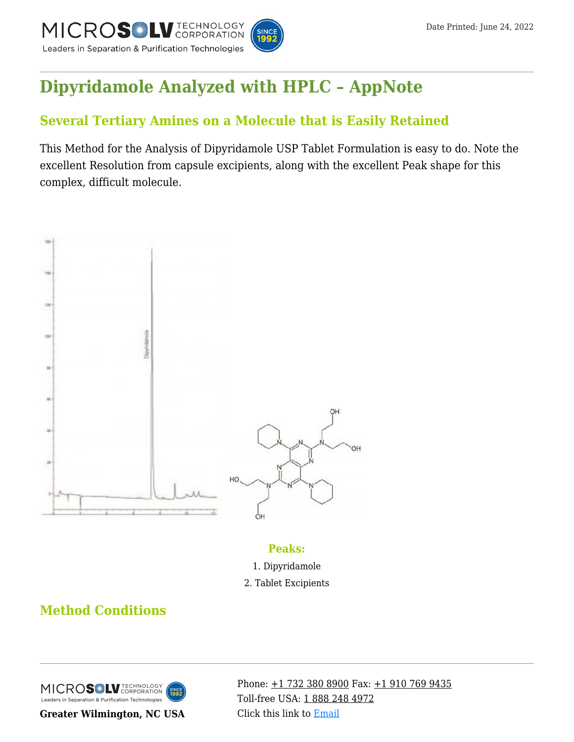

# **[Dipyridamole Analyzed with HPLC – AppNote](https://kb.mtc-usa.com/article/aa-00692/46/)**

## **Several Tertiary Amines on a Molecule that is Easily Retained**

This Method for the Analysis of Dipyridamole USP Tablet Formulation is easy to do. Note the excellent Resolution from capsule excipients, along with the excellent Peak shape for this complex, difficult molecule.



#### **Peaks:**

- 1. Dipyridamole
- 2. Tablet Excipients

## **Method Conditions**



**Greater Wilmington, NC USA**

Phone:  $\pm$ 1 732 380 8900 Fax:  $\pm$ 1 910 769 9435 Toll-free USA: [1 888 248 4972](#page--1-0) Click this link to [Email](https://www.mtc-usa.com/contact)